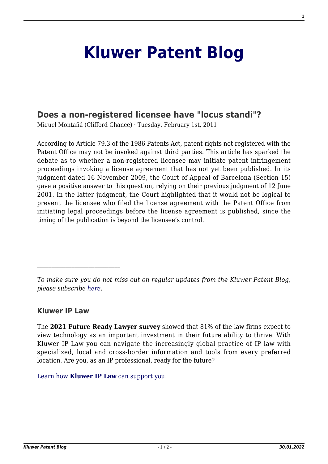## **[Kluwer Patent Blog](http://patentblog.kluweriplaw.com/)**

## **[Does a non-registered licensee have "locus standi"?](http://patentblog.kluweriplaw.com/2011/02/01/does-a-non-registered-licensee-have-locus-standi/)**

Miquel Montañá (Clifford Chance) · Tuesday, February 1st, 2011

According to Article 79.3 of the 1986 Patents Act, patent rights not registered with the Patent Office may not be invoked against third parties. This article has sparked the debate as to whether a non-registered licensee may initiate patent infringement proceedings invoking a license agreement that has not yet been published. In its judgment dated 16 November 2009, the Court of Appeal of Barcelona (Section 15) gave a positive answer to this question, relying on their previous judgment of 12 June 2001. In the latter judgment, the Court highlighted that it would not be logical to prevent the licensee who filed the license agreement with the Patent Office from initiating legal proceedings before the license agreement is published, since the timing of the publication is beyond the licensee's control.

## **Kluwer IP Law**

The **2021 Future Ready Lawyer survey** showed that 81% of the law firms expect to view technology as an important investment in their future ability to thrive. With Kluwer IP Law you can navigate the increasingly global practice of IP law with specialized, local and cross-border information and tools from every preferred location. Are you, as an IP professional, ready for the future?

[Learn how](https://www.wolterskluwer.com/en/solutions/kluweriplaw?utm_source=patentblog&utm_medium=articleCTA&utm_campaign=article-banner) **[Kluwer IP Law](https://www.wolterskluwer.com/en/solutions/kluweriplaw?utm_source=patentblog&utm_medium=articleCTA&utm_campaign=article-banner)** [can support you.](https://www.wolterskluwer.com/en/solutions/kluweriplaw?utm_source=patentblog&utm_medium=articleCTA&utm_campaign=article-banner)

*To make sure you do not miss out on regular updates from the Kluwer Patent Blog, please subscribe [here.](http://patentblog.kluweriplaw.com/newsletter)*